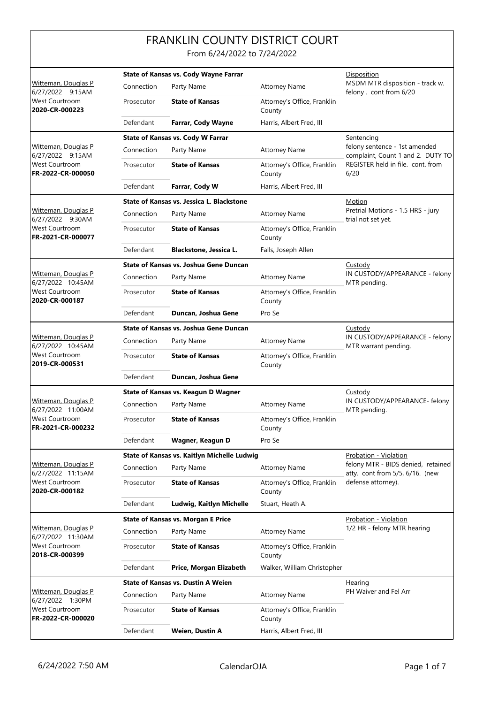## FRANKLIN COUNTY DISTRICT COURT

From 6/24/2022 to 7/24/2022

|                                                                                    | <b>State of Kansas vs. Cody Wayne Farrar</b> |                                             |                                                                    | Disposition                                                           |
|------------------------------------------------------------------------------------|----------------------------------------------|---------------------------------------------|--------------------------------------------------------------------|-----------------------------------------------------------------------|
| Witteman, Douglas P<br>6/27/2022 9:15AM<br><b>West Courtroom</b><br>2020-CR-000223 | Connection                                   | Party Name                                  | <b>Attorney Name</b>                                               | MSDM MTR disposition - track w.<br>felony . cont from 6/20            |
|                                                                                    | Prosecutor                                   | <b>State of Kansas</b>                      | Attorney's Office, Franklin<br>County                              |                                                                       |
|                                                                                    | Defendant                                    | Farrar, Cody Wayne                          | Harris, Albert Fred, III                                           |                                                                       |
|                                                                                    |                                              | <b>State of Kansas vs. Cody W Farrar</b>    | Sentencing                                                         |                                                                       |
| Witteman, Douglas P<br>6/27/2022 9:15AM                                            | Connection                                   | Party Name                                  | felony sentence - 1st amended<br>complaint, Count 1 and 2. DUTY TO |                                                                       |
| <b>West Courtroom</b><br>FR-2022-CR-000050                                         | Prosecutor                                   | <b>State of Kansas</b>                      | Attorney's Office, Franklin<br>County                              | REGISTER held in file. cont. from<br>6/20                             |
|                                                                                    | Defendant                                    | Farrar, Cody W                              | Harris, Albert Fred, III                                           |                                                                       |
|                                                                                    |                                              | State of Kansas vs. Jessica L. Blackstone   | Motion                                                             |                                                                       |
| Witteman, Douglas P<br>6/27/2022 9:30AM                                            | Connection                                   | Party Name                                  | <b>Attorney Name</b>                                               | Pretrial Motions - 1.5 HRS - jury<br>trial not set yet.               |
| <b>West Courtroom</b><br>FR-2021-CR-000077                                         | Prosecutor                                   | <b>State of Kansas</b>                      | Attorney's Office, Franklin<br>County                              |                                                                       |
|                                                                                    | Defendant                                    | Blackstone, Jessica L.                      | Falls, Joseph Allen                                                |                                                                       |
|                                                                                    |                                              | State of Kansas vs. Joshua Gene Duncan      |                                                                    | Custody                                                               |
| Witteman, Douglas P<br>6/27/2022 10:45AM                                           | Connection                                   | Party Name                                  | <b>Attorney Name</b>                                               | IN CUSTODY/APPEARANCE - felony<br>MTR pending.                        |
| West Courtroom<br>2020-CR-000187                                                   | Prosecutor                                   | <b>State of Kansas</b>                      | Attorney's Office, Franklin<br>County                              |                                                                       |
|                                                                                    | Defendant                                    | Duncan, Joshua Gene                         | Pro Se                                                             |                                                                       |
|                                                                                    |                                              | State of Kansas vs. Joshua Gene Duncan      | Custody                                                            |                                                                       |
| Witteman, Douglas P                                                                | Connection                                   | Party Name                                  | <b>Attorney Name</b>                                               | IN CUSTODY/APPEARANCE - felony<br>MTR warrant pending.                |
| 6/27/2022 10:45AM<br><b>West Courtroom</b><br>2019-CR-000531                       | Prosecutor                                   | <b>State of Kansas</b>                      | Attorney's Office, Franklin<br>County                              |                                                                       |
|                                                                                    | Defendant                                    | Duncan, Joshua Gene                         |                                                                    |                                                                       |
|                                                                                    |                                              | State of Kansas vs. Keagun D Wagner         | Custody                                                            |                                                                       |
| <b>Witteman, Douglas P</b><br>6/27/2022 11:00AM                                    | Connection                                   | Party Name                                  | <b>Attorney Name</b>                                               | IN CUSTODY/APPEARANCE- felony<br>MTR pending.                         |
| <b>West Courtroom</b><br>FR-2021-CR-000232                                         | Prosecutor                                   | <b>State of Kansas</b>                      | Attorney's Office, Franklin<br>County                              |                                                                       |
|                                                                                    | Defendant                                    | Wagner, Keagun D                            | Pro Se                                                             |                                                                       |
|                                                                                    |                                              | State of Kansas vs. Kaitlyn Michelle Ludwig | Probation - Violation                                              |                                                                       |
| Witteman, Douglas P<br>6/27/2022 11:15AM                                           | Connection                                   | Party Name                                  | Attorney Name                                                      | felony MTR - BIDS denied, retained<br>atty. cont from 5/5, 6/16. (new |
| West Courtroom<br>2020-CR-000182                                                   | Prosecutor                                   | <b>State of Kansas</b>                      | Attorney's Office, Franklin<br>County                              | defense attorney).                                                    |
|                                                                                    | Defendant                                    | Ludwig, Kaitlyn Michelle                    | Stuart, Heath A.                                                   |                                                                       |
|                                                                                    |                                              | <b>State of Kansas vs. Morgan E Price</b>   | Probation - Violation                                              |                                                                       |
| Witteman, Douglas P<br>6/27/2022 11:30AM                                           | Connection                                   | Party Name                                  | <b>Attorney Name</b>                                               | 1/2 HR - felony MTR hearing                                           |
| <b>West Courtroom</b><br>2018-CR-000399                                            | Prosecutor                                   | <b>State of Kansas</b>                      | Attorney's Office, Franklin<br>County                              |                                                                       |
|                                                                                    | Defendant                                    | Price, Morgan Elizabeth                     | Walker, William Christopher                                        |                                                                       |
|                                                                                    | <b>State of Kansas vs. Dustin A Weien</b>    |                                             |                                                                    | <b>Hearing</b>                                                        |
| Witteman, Douglas P<br>6/27/2022 1:30PM                                            | Connection                                   | Party Name                                  | <b>Attorney Name</b>                                               | PH Waiver and Fel Arr                                                 |
| <b>West Courtroom</b><br>FR-2022-CR-000020                                         | Prosecutor                                   | <b>State of Kansas</b>                      | Attorney's Office, Franklin<br>County                              |                                                                       |
|                                                                                    | Defendant                                    | Weien, Dustin A                             | Harris, Albert Fred, III                                           |                                                                       |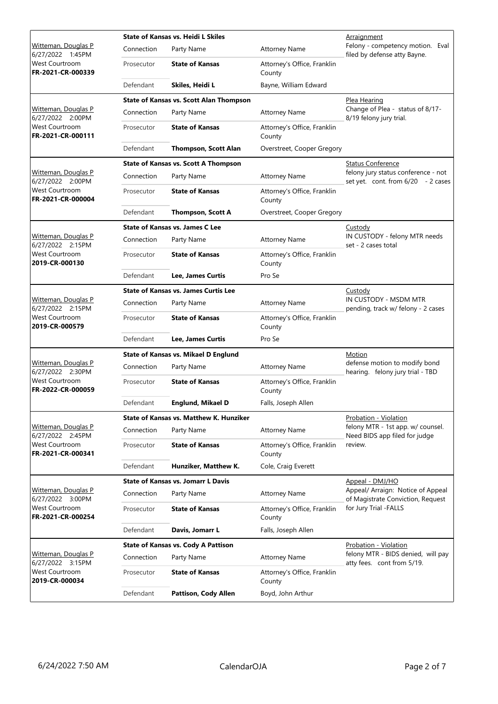|                                                 | <b>State of Kansas vs. Heidi L Skiles</b>   |                                                |                                       | Arraignment                                                               |
|-------------------------------------------------|---------------------------------------------|------------------------------------------------|---------------------------------------|---------------------------------------------------------------------------|
| Witteman, Douglas P<br>6/27/2022 1:45PM         | Connection                                  | Party Name                                     | <b>Attorney Name</b>                  | Felony - competency motion. Eval<br>filed by defense atty Bayne.          |
| <b>West Courtroom</b><br>FR-2021-CR-000339      | Prosecutor                                  | <b>State of Kansas</b>                         | Attorney's Office, Franklin<br>County |                                                                           |
|                                                 | Defendant                                   | Skiles, Heidi L                                | Bayne, William Edward                 |                                                                           |
|                                                 |                                             | <b>State of Kansas vs. Scott Alan Thompson</b> |                                       | Plea Hearing                                                              |
| Witteman, Douglas P<br>6/27/2022 2:00PM         | Connection                                  | Party Name                                     | <b>Attorney Name</b>                  | Change of Plea - status of 8/17-<br>8/19 felony jury trial.               |
| West Courtroom<br>FR-2021-CR-000111             | Prosecutor                                  | <b>State of Kansas</b>                         | Attorney's Office, Franklin<br>County |                                                                           |
|                                                 | Defendant                                   | <b>Thompson, Scott Alan</b>                    | Overstreet, Cooper Gregory            |                                                                           |
|                                                 |                                             | <b>State of Kansas vs. Scott A Thompson</b>    |                                       | <b>Status Conference</b>                                                  |
| Witteman, Douglas P<br>6/27/2022 2:00PM         | Connection                                  | Party Name                                     | <b>Attorney Name</b>                  | felony jury status conference - not<br>set yet. cont. from 6/20 - 2 cases |
| West Courtroom<br>FR-2021-CR-000004             | Prosecutor                                  | <b>State of Kansas</b>                         | Attorney's Office, Franklin<br>County |                                                                           |
|                                                 | Defendant                                   | <b>Thompson, Scott A</b>                       | Overstreet, Cooper Gregory            |                                                                           |
|                                                 |                                             | <b>State of Kansas vs. James C Lee</b>         |                                       | Custody                                                                   |
| Witteman, Douglas P<br>6/27/2022 2:15PM         | Connection                                  | Party Name                                     | <b>Attorney Name</b>                  | IN CUSTODY - felony MTR needs<br>set - 2 cases total                      |
| West Courtroom<br>2019-CR-000130                | Prosecutor                                  | <b>State of Kansas</b>                         | Attorney's Office, Franklin<br>County |                                                                           |
|                                                 | Defendant                                   | Lee, James Curtis                              | Pro Se                                |                                                                           |
|                                                 |                                             | <b>State of Kansas vs. James Curtis Lee</b>    |                                       | <b>Custody</b>                                                            |
| Witteman, Douglas P<br>6/27/2022 2:15PM         | Connection                                  | Party Name                                     | <b>Attorney Name</b>                  | IN CUSTODY - MSDM MTR<br>pending, track w/ felony - 2 cases               |
| <b>West Courtroom</b><br>2019-CR-000579         | Prosecutor                                  | <b>State of Kansas</b>                         | Attorney's Office, Franklin<br>County |                                                                           |
|                                                 | Defendant                                   | Lee, James Curtis                              | Pro Se                                |                                                                           |
|                                                 | <b>State of Kansas vs. Mikael D Englund</b> |                                                |                                       | Motion                                                                    |
| <b>Witteman, Douglas P</b><br>6/27/2022 2:30PM  | Connection                                  | Party Name                                     | <b>Attorney Name</b>                  | defense motion to modify bond<br>hearing. felony jury trial - TBD         |
| West Courtroom<br>FR-2022-CR-000059             | Prosecutor                                  | <b>State of Kansas</b>                         | Attorney's Office, Franklin<br>County |                                                                           |
|                                                 | Defendant                                   | <b>Englund, Mikael D</b>                       | Falls, Joseph Allen                   |                                                                           |
|                                                 |                                             | State of Kansas vs. Matthew K. Hunziker        |                                       | Probation - Violation                                                     |
| Witteman, Douglas P<br>6/27/2022 2:45PM         | Connection                                  | Party Name                                     | <b>Attorney Name</b>                  | felony MTR - 1st app. w/ counsel.<br>Need BIDS app filed for judge        |
| <b>West Courtroom</b><br>FR-2021-CR-000341      | Prosecutor                                  | <b>State of Kansas</b>                         | Attorney's Office, Franklin<br>County | review.                                                                   |
|                                                 | Defendant                                   | Hunziker, Matthew K.                           | Cole, Craig Everett                   |                                                                           |
|                                                 |                                             | <b>State of Kansas vs. Jomarr L Davis</b>      |                                       | Appeal - DMJ/HO                                                           |
| Witteman, Douglas P<br>6/27/2022 3:00PM         | Connection                                  | Party Name                                     | <b>Attorney Name</b>                  | Appeal/ Arraign: Notice of Appeal<br>of Magistrate Conviction, Request    |
| West Courtroom<br>FR-2021-CR-000254             | Prosecutor                                  | <b>State of Kansas</b>                         | Attorney's Office, Franklin<br>County | for Jury Trial -FALLS                                                     |
|                                                 | Defendant                                   | Davis, Jomarr L                                | Falls, Joseph Allen                   |                                                                           |
|                                                 | <b>State of Kansas vs. Cody A Pattison</b>  |                                                |                                       | Probation - Violation                                                     |
| <u> Witteman, Douglas P</u><br>6/27/2022 3:15PM | Connection                                  | Party Name                                     | <b>Attorney Name</b>                  | felony MTR - BIDS denied, will pay<br>atty fees. cont from 5/19.          |
| West Courtroom<br>2019-CR-000034                | Prosecutor                                  | <b>State of Kansas</b>                         | Attorney's Office, Franklin<br>County |                                                                           |
|                                                 | Defendant                                   | Pattison, Cody Allen                           | Boyd, John Arthur                     |                                                                           |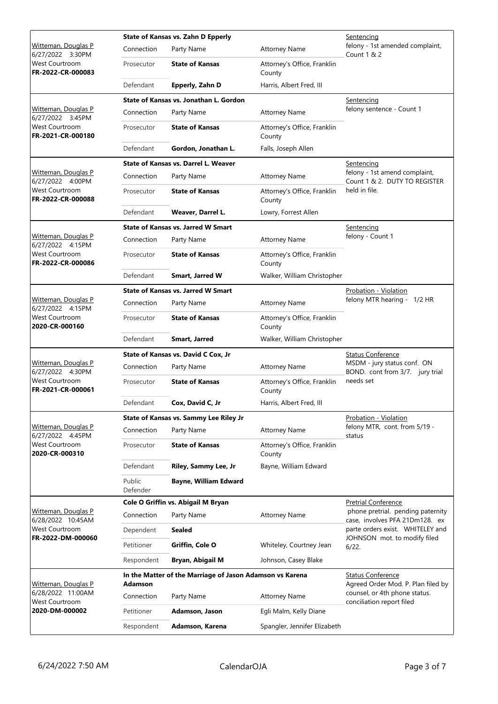|                                                | State of Kansas vs. Zahn D Epperly        |                                                          |                                                                | Sentencing                                                          |
|------------------------------------------------|-------------------------------------------|----------------------------------------------------------|----------------------------------------------------------------|---------------------------------------------------------------------|
| <b>Witteman, Douglas P</b><br>6/27/2022 3:30PM | Connection                                | Party Name                                               | <b>Attorney Name</b>                                           | felony - 1st amended complaint,<br><b>Count 1 &amp; 2</b>           |
| <b>West Courtroom</b><br>FR-2022-CR-000083     | Prosecutor                                | <b>State of Kansas</b>                                   | Attorney's Office, Franklin<br>County                          |                                                                     |
|                                                | Defendant                                 | Epperly, Zahn D                                          | Harris, Albert Fred, III                                       |                                                                     |
|                                                |                                           | State of Kansas vs. Jonathan L. Gordon                   |                                                                | Sentencing                                                          |
| Witteman, Douglas P<br>6/27/2022 3:45PM        | Connection                                | Party Name                                               | <b>Attorney Name</b>                                           | felony sentence - Count 1                                           |
| West Courtroom<br>FR-2021-CR-000180            | Prosecutor                                | <b>State of Kansas</b>                                   | Attorney's Office, Franklin<br>County                          |                                                                     |
|                                                | Defendant                                 | Gordon, Jonathan L.                                      | Falls, Joseph Allen                                            |                                                                     |
|                                                |                                           | State of Kansas vs. Darrel L. Weaver                     | Sentencing                                                     |                                                                     |
| Witteman, Douglas P<br>6/27/2022 4:00PM        | Connection                                | Party Name                                               | <b>Attorney Name</b>                                           | felony - 1st amend complaint,<br>Count 1 & 2. DUTY TO REGISTER      |
| West Courtroom<br>FR-2022-CR-000088            | Prosecutor                                | <b>State of Kansas</b>                                   | Attorney's Office, Franklin<br>County                          | held in file.                                                       |
|                                                | Defendant                                 | Weaver, Darrel L.                                        | Lowry, Forrest Allen                                           |                                                                     |
|                                                |                                           | <b>State of Kansas vs. Jarred W Smart</b>                |                                                                | Sentencing                                                          |
| <b>Witteman, Douglas P</b><br>6/27/2022 4:15PM | Connection                                | Party Name                                               | <b>Attorney Name</b>                                           | felony - Count 1                                                    |
| <b>West Courtroom</b><br>FR-2022-CR-000086     | Prosecutor                                | <b>State of Kansas</b>                                   | Attorney's Office, Franklin<br>County                          |                                                                     |
|                                                | Defendant                                 | <b>Smart, Jarred W</b>                                   | Walker, William Christopher                                    |                                                                     |
|                                                | <b>State of Kansas vs. Jarred W Smart</b> |                                                          |                                                                | Probation - Violation                                               |
| Witteman, Douglas P<br>6/27/2022 4:15PM        | Connection                                | Party Name                                               | <b>Attorney Name</b>                                           | felony MTR hearing - 1/2 HR                                         |
| West Courtroom<br>2020-CR-000160               | Prosecutor                                | <b>State of Kansas</b>                                   | Attorney's Office, Franklin<br>County                          |                                                                     |
|                                                | Defendant                                 | Smart, Jarred                                            | Walker, William Christopher                                    |                                                                     |
|                                                |                                           | State of Kansas vs. David C Cox, Jr                      | <b>Status Conference</b>                                       |                                                                     |
| Witteman, Douglas P<br>6/27/2022 4:30PM        | Connection                                | Party Name                                               | <b>Attorney Name</b>                                           | MSDM - jury status conf. ON<br>BOND. cont from 3/7. jury trial      |
| <b>West Courtroom</b><br>FR-2021-CR-000061     | Prosecutor                                | <b>State of Kansas</b>                                   | Attorney's Office, Franklin<br>County                          | needs set                                                           |
|                                                | Defendant                                 | Cox, David C, Jr                                         | Harris, Albert Fred, III                                       |                                                                     |
|                                                | State of Kansas vs. Sammy Lee Riley Jr    |                                                          |                                                                | Probation - Violation                                               |
| Witteman, Douglas P<br>6/27/2022 4:45PM        | Connection                                | Party Name                                               | <b>Attorney Name</b>                                           | felony MTR, cont. from 5/19 -<br>status                             |
| <b>West Courtroom</b><br>2020-CR-000310        | Prosecutor                                | <b>State of Kansas</b>                                   | Attorney's Office, Franklin<br>County                          |                                                                     |
|                                                | Defendant                                 | Riley, Sammy Lee, Jr                                     | Bayne, William Edward                                          |                                                                     |
|                                                | Public<br>Defender                        | <b>Bayne, William Edward</b>                             |                                                                |                                                                     |
|                                                | Cole O Griffin vs. Abigail M Bryan        |                                                          |                                                                | <b>Pretrial Conference</b>                                          |
| Witteman, Douglas P<br>6/28/2022 10:45AM       | Connection                                | Party Name                                               | <b>Attorney Name</b>                                           | phone pretrial. pending paternity<br>case, involves PFA 21Dm128. ex |
| West Courtroom                                 | Dependent                                 | <b>Sealed</b>                                            |                                                                | parte orders exist. WHITELEY and                                    |
| FR-2022-DM-000060                              | Petitioner                                | Griffin, Cole O                                          | Whiteley, Courtney Jean                                        | JOHNSON mot. to modify filed<br>6/22.                               |
|                                                | Respondent                                | Bryan, Abigail M                                         | Johnson, Casey Blake                                           |                                                                     |
| Witteman, Douglas P                            | Adamson                                   | In the Matter of the Marriage of Jason Adamson vs Karena | <b>Status Conference</b><br>Agreed Order Mod. P. Plan filed by |                                                                     |
| 6/28/2022 11:00AM<br>West Courtroom            | Connection                                | Party Name                                               | <b>Attorney Name</b>                                           | counsel, or 4th phone status.<br>conciliation report filed          |
| 2020-DM-000002                                 | Petitioner                                | Adamson, Jason                                           | Egli Malm, Kelly Diane                                         |                                                                     |
|                                                | Respondent                                | Adamson, Karena                                          | Spangler, Jennifer Elizabeth                                   |                                                                     |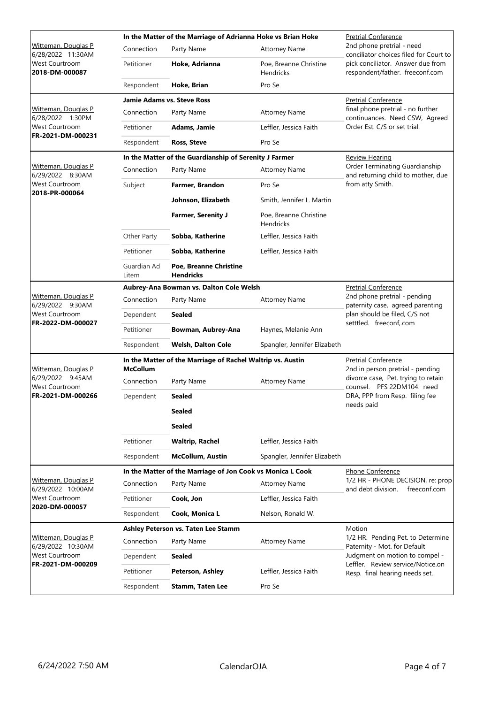|                                                                                     |                                     | In the Matter of the Marriage of Adrianna Hoke vs Brian Hoke | <b>Pretrial Conference</b>                                     |                                                                         |  |
|-------------------------------------------------------------------------------------|-------------------------------------|--------------------------------------------------------------|----------------------------------------------------------------|-------------------------------------------------------------------------|--|
| Witteman, Douglas P<br>6/28/2022 11:30AM<br><b>West Courtroom</b><br>2018-DM-000087 | Connection                          | Party Name                                                   | <b>Attorney Name</b>                                           | 2nd phone pretrial - need<br>conciliator choices filed for Court to     |  |
|                                                                                     | Petitioner                          | Hoke, Adrianna                                               | Poe, Breanne Christine<br><b>Hendricks</b>                     | pick conciliator. Answer due from<br>respondent/father. freeconf.com    |  |
|                                                                                     | Respondent                          | Hoke, Brian                                                  | Pro Se                                                         |                                                                         |  |
|                                                                                     |                                     | <b>Jamie Adams vs. Steve Ross</b>                            | <b>Pretrial Conference</b>                                     |                                                                         |  |
| Witteman, Douglas P<br>6/28/2022 1:30PM                                             | Connection                          | Party Name                                                   | <b>Attorney Name</b>                                           | final phone pretrial - no further<br>continuances. Need CSW, Agreed     |  |
| West Courtroom                                                                      | Petitioner                          | Adams, Jamie                                                 | Leffler, Jessica Faith                                         | Order Est. C/S or set trial.                                            |  |
| FR-2021-DM-000231                                                                   | Respondent                          | <b>Ross, Steve</b>                                           | Pro Se                                                         |                                                                         |  |
|                                                                                     |                                     | In the Matter of the Guardianship of Serenity J Farmer       |                                                                | <b>Review Hearing</b>                                                   |  |
| <u>Witteman, Douglas P</u><br>6/29/2022 8:30AM                                      | Connection                          | Party Name                                                   | <b>Attorney Name</b>                                           | Order Terminating Guardianship<br>and returning child to mother, due    |  |
| <b>West Courtroom</b>                                                               | Subject                             | Farmer, Brandon                                              | Pro Se                                                         | from atty Smith.                                                        |  |
| 2018-PR-000064                                                                      |                                     | Johnson, Elizabeth                                           | Smith, Jennifer L. Martin                                      |                                                                         |  |
|                                                                                     |                                     | <b>Farmer, Serenity J</b>                                    | Poe, Breanne Christine<br><b>Hendricks</b>                     |                                                                         |  |
|                                                                                     | Other Party                         | Sobba, Katherine                                             | Leffler, Jessica Faith                                         |                                                                         |  |
|                                                                                     | Petitioner                          | Sobba, Katherine                                             | Leffler, Jessica Faith                                         |                                                                         |  |
|                                                                                     | Guardian Ad<br>Litem                | Poe, Breanne Christine<br><b>Hendricks</b>                   |                                                                |                                                                         |  |
|                                                                                     |                                     | Aubrey-Ana Bowman vs. Dalton Cole Welsh                      |                                                                | <b>Pretrial Conference</b>                                              |  |
| Witteman, Douglas P<br>6/29/2022 9:30AM                                             | Connection                          | Party Name                                                   | <b>Attorney Name</b>                                           | 2nd phone pretrial - pending<br>paternity case, agreed parenting        |  |
| West Courtroom<br>FR-2022-DM-000027                                                 | Dependent                           | <b>Sealed</b>                                                |                                                                | plan should be filed, C/S not<br>setttled. freeconf,.com                |  |
|                                                                                     | Petitioner                          | Bowman, Aubrey-Ana                                           | Haynes, Melanie Ann                                            |                                                                         |  |
|                                                                                     | Respondent                          | <b>Welsh, Dalton Cole</b>                                    | Spangler, Jennifer Elizabeth                                   |                                                                         |  |
| Witteman, Douglas P                                                                 | <b>McCollum</b>                     | In the Matter of the Marriage of Rachel Waltrip vs. Austin   | <b>Pretrial Conference</b><br>2nd in person pretrial - pending |                                                                         |  |
| 6/29/2022 9:45AM<br>West Courtroom                                                  | Connection                          | Party Name                                                   | <b>Attorney Name</b>                                           | divorce case, Pet. trying to retain<br>counsel. PFS 22DM104. need       |  |
| FR-2021-DM-000266                                                                   | Dependent                           | <b>Sealed</b>                                                |                                                                | DRA, PPP from Resp. filing fee                                          |  |
|                                                                                     |                                     | <b>Sealed</b>                                                |                                                                | needs paid                                                              |  |
|                                                                                     |                                     | <b>Sealed</b>                                                |                                                                |                                                                         |  |
|                                                                                     | Petitioner                          | <b>Waltrip, Rachel</b>                                       | Leffler, Jessica Faith                                         |                                                                         |  |
|                                                                                     | Respondent                          | <b>McCollum, Austin</b>                                      | Spangler, Jennifer Elizabeth                                   |                                                                         |  |
|                                                                                     |                                     | In the Matter of the Marriage of Jon Cook vs Monica L Cook   | Phone Conference                                               |                                                                         |  |
| Witteman, Douglas P<br>6/29/2022 10:00AM<br>West Courtroom<br>2020-DM-000057        | Connection                          | Party Name                                                   | <b>Attorney Name</b>                                           | 1/2 HR - PHONE DECISION, re: prop<br>freeconf.com<br>and debt division. |  |
|                                                                                     | Petitioner                          | Cook, Jon                                                    | Leffler, Jessica Faith                                         |                                                                         |  |
|                                                                                     | Respondent                          | Cook, Monica L                                               | Nelson, Ronald W.                                              |                                                                         |  |
|                                                                                     | Ashley Peterson vs. Taten Lee Stamm |                                                              |                                                                | Motion                                                                  |  |
| Witteman, Douglas P<br>6/29/2022 10:30AM                                            | Connection                          | Party Name                                                   | <b>Attorney Name</b>                                           | 1/2 HR. Pending Pet. to Determine<br>Paternity - Mot. for Default       |  |
| <b>West Courtroom</b>                                                               | Dependent                           | <b>Sealed</b>                                                |                                                                | Judgment on motion to compel -<br>Leffler. Review service/Notice.on     |  |
| FR-2021-DM-000209                                                                   | Petitioner                          | Peterson, Ashley                                             | Leffler, Jessica Faith                                         | Resp. final hearing needs set.                                          |  |
|                                                                                     | Respondent                          | <b>Stamm, Taten Lee</b>                                      | Pro Se                                                         |                                                                         |  |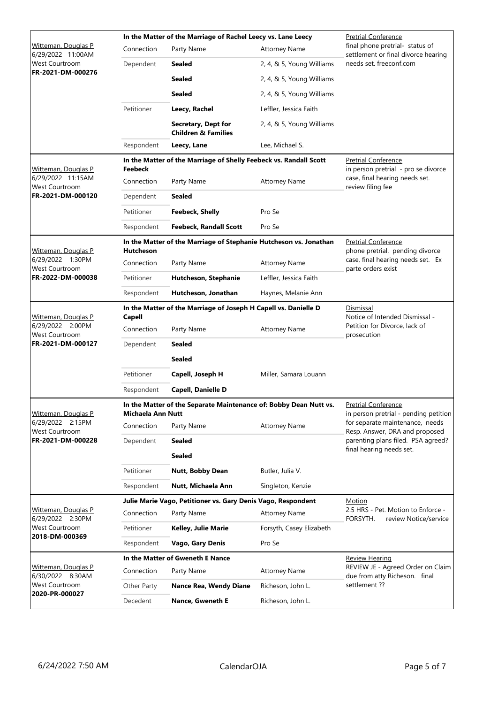|                                                                                    |                                                                                               | In the Matter of the Marriage of Rachel Leecy vs. Lane Leecy |                                                                   | <b>Pretrial Conference</b>                                                                              |  |  |
|------------------------------------------------------------------------------------|-----------------------------------------------------------------------------------------------|--------------------------------------------------------------|-------------------------------------------------------------------|---------------------------------------------------------------------------------------------------------|--|--|
| Witteman, Douglas P<br>6/29/2022 11:00AM                                           | Connection                                                                                    | Party Name                                                   | <b>Attorney Name</b>                                              | final phone pretrial- status of<br>settlement or final divorce hearing                                  |  |  |
| West Courtroom<br>FR-2021-DM-000276                                                | Dependent                                                                                     | Sealed                                                       | 2, 4, & 5, Young Williams                                         | needs set, freeconf.com                                                                                 |  |  |
|                                                                                    |                                                                                               | <b>Sealed</b>                                                | 2, 4, & 5, Young Williams                                         |                                                                                                         |  |  |
|                                                                                    |                                                                                               | <b>Sealed</b>                                                | 2, 4, & 5, Young Williams                                         |                                                                                                         |  |  |
|                                                                                    | Petitioner                                                                                    | Leecy, Rachel                                                | Leffler, Jessica Faith                                            |                                                                                                         |  |  |
|                                                                                    |                                                                                               | Secretary, Dept for<br><b>Children &amp; Families</b>        | 2, 4, & 5, Young Williams                                         |                                                                                                         |  |  |
|                                                                                    | Respondent                                                                                    | Leecy, Lane                                                  | Lee, Michael S.                                                   |                                                                                                         |  |  |
| Witteman, Douglas P                                                                | In the Matter of the Marriage of Shelly Feebeck vs. Randall Scott<br>Feebeck                  |                                                              |                                                                   | <b>Pretrial Conference</b><br>in person pretrial - pro se divorce                                       |  |  |
| 6/29/2022 11:15AM<br>West Courtroom                                                | Connection                                                                                    | Party Name                                                   | <b>Attorney Name</b>                                              | case, final hearing needs set.<br>review filing fee                                                     |  |  |
| FR-2021-DM-000120                                                                  | Dependent                                                                                     | Sealed                                                       |                                                                   |                                                                                                         |  |  |
|                                                                                    | Petitioner                                                                                    | <b>Feebeck, Shelly</b>                                       | Pro Se                                                            |                                                                                                         |  |  |
|                                                                                    | Respondent                                                                                    | <b>Feebeck, Randall Scott</b>                                | Pro Se                                                            |                                                                                                         |  |  |
| Witteman, Douglas P                                                                | <b>Hutcheson</b>                                                                              |                                                              | In the Matter of the Marriage of Stephanie Hutcheson vs. Jonathan | <b>Pretrial Conference</b><br>phone pretrial. pending divorce                                           |  |  |
| 6/29/2022 1:30PM<br>West Courtroom                                                 | Connection                                                                                    | Party Name                                                   | <b>Attorney Name</b>                                              | case, final hearing needs set. Ex<br>parte orders exist                                                 |  |  |
| FR-2022-DM-000038                                                                  | Petitioner                                                                                    | Hutcheson, Stephanie                                         | Leffler, Jessica Faith                                            |                                                                                                         |  |  |
|                                                                                    | Respondent                                                                                    | Hutcheson, Jonathan                                          | Haynes, Melanie Ann                                               |                                                                                                         |  |  |
| Witteman, Douglas P                                                                | In the Matter of the Marriage of Joseph H Capell vs. Danielle D<br><b>Capell</b>              |                                                              |                                                                   | Dismissal<br>Notice of Intended Dismissal -                                                             |  |  |
| 6/29/2022 2:00PM<br>West Courtroom                                                 | Connection                                                                                    | Party Name                                                   | <b>Attorney Name</b>                                              | Petition for Divorce, lack of<br>prosecution                                                            |  |  |
| FR-2021-DM-000127                                                                  | Dependent                                                                                     | <b>Sealed</b>                                                |                                                                   |                                                                                                         |  |  |
|                                                                                    |                                                                                               | <b>Sealed</b>                                                |                                                                   |                                                                                                         |  |  |
|                                                                                    | Petitioner                                                                                    | Capell, Joseph H                                             | Miller, Samara Louann                                             |                                                                                                         |  |  |
|                                                                                    | Respondent                                                                                    | <b>Capell, Danielle D</b>                                    |                                                                   |                                                                                                         |  |  |
| Witteman, Douglas P                                                                | In the Matter of the Separate Maintenance of: Bobby Dean Nutt vs.<br><b>Michaela Ann Nutt</b> |                                                              |                                                                   | <b>Pretrial Conference</b><br>in person pretrial - pending petition                                     |  |  |
| 6/29/2022 2:15PM<br><b>West Courtroom</b>                                          | Connection                                                                                    | Party Name                                                   | <b>Attorney Name</b>                                              | for separate maintenance, needs<br>Resp. Answer, DRA and proposed<br>parenting plans filed. PSA agreed? |  |  |
| FR-2021-DM-000228                                                                  | Dependent                                                                                     | <b>Sealed</b>                                                |                                                                   |                                                                                                         |  |  |
|                                                                                    |                                                                                               | <b>Sealed</b>                                                |                                                                   | final hearing needs set.                                                                                |  |  |
|                                                                                    | Petitioner                                                                                    | <b>Nutt, Bobby Dean</b>                                      | Butler, Julia V.                                                  |                                                                                                         |  |  |
|                                                                                    | Respondent                                                                                    | Nutt, Michaela Ann                                           | Singleton, Kenzie                                                 |                                                                                                         |  |  |
|                                                                                    | Julie Marie Vago, Petitioner vs. Gary Denis Vago, Respondent                                  |                                                              |                                                                   | Motion                                                                                                  |  |  |
| Witteman, Douglas P<br>6/29/2022 2:30PM<br><b>West Courtroom</b><br>2018-DM-000369 | Connection                                                                                    | Party Name                                                   | <b>Attorney Name</b>                                              | 2.5 HRS - Pet. Motion to Enforce -<br>FORSYTH.<br>review Notice/service                                 |  |  |
|                                                                                    | Petitioner                                                                                    | Kelley, Julie Marie                                          | Forsyth, Casey Elizabeth                                          |                                                                                                         |  |  |
|                                                                                    | Respondent                                                                                    | <b>Vago, Gary Denis</b>                                      | Pro Se                                                            |                                                                                                         |  |  |
|                                                                                    |                                                                                               | In the Matter of Gweneth E Nance                             |                                                                   | <b>Review Hearing</b><br>REVIEW JE - Agreed Order on Claim                                              |  |  |
| <b>Witteman, Douglas P</b><br>6/30/2022 8:30AM<br>West Courtroom<br>2020-PR-000027 | Connection                                                                                    | Party Name                                                   | <b>Attorney Name</b>                                              | due from atty Richeson. final                                                                           |  |  |
|                                                                                    | Other Party                                                                                   | <b>Nance Rea, Wendy Diane</b>                                | Richeson, John L.                                                 | settlement ??                                                                                           |  |  |
|                                                                                    | Decedent                                                                                      | Nance, Gweneth E                                             | Richeson, John L.                                                 |                                                                                                         |  |  |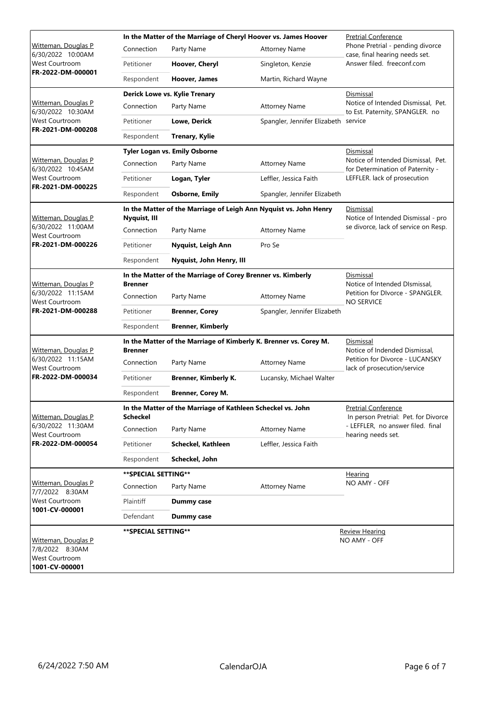| Witteman, Douglas P<br>6/30/2022 10:00AM<br>West Courtroom<br>FR-2022-DM-000001 | In the Matter of the Marriage of Cheryl Hoover vs. James Hoover                     |                                                             |                                                                   | <b>Pretrial Conference</b>                                             |  |  |
|---------------------------------------------------------------------------------|-------------------------------------------------------------------------------------|-------------------------------------------------------------|-------------------------------------------------------------------|------------------------------------------------------------------------|--|--|
|                                                                                 | Connection                                                                          | Party Name                                                  | <b>Attorney Name</b>                                              | Phone Pretrial - pending divorce<br>case, final hearing needs set.     |  |  |
|                                                                                 | Petitioner                                                                          | Hoover, Cheryl                                              | Singleton, Kenzie                                                 | Answer filed. freeconf.com                                             |  |  |
|                                                                                 | Respondent                                                                          | Hoover, James                                               | Martin, Richard Wayne                                             |                                                                        |  |  |
|                                                                                 |                                                                                     | Derick Lowe vs. Kylie Trenary                               |                                                                   | Dismissal                                                              |  |  |
| Witteman, Douglas P<br>6/30/2022 10:30AM                                        | Connection                                                                          | Party Name                                                  | <b>Attorney Name</b>                                              | Notice of Intended Dismissal, Pet.<br>to Est. Paternity, SPANGLER. no  |  |  |
| West Courtroom<br>FR-2021-DM-000208                                             | Petitioner                                                                          | Lowe, Derick                                                | Spangler, Jennifer Elizabeth                                      | service                                                                |  |  |
|                                                                                 | Respondent                                                                          | <b>Trenary, Kylie</b>                                       |                                                                   |                                                                        |  |  |
|                                                                                 |                                                                                     | Tyler Logan vs. Emily Osborne                               |                                                                   | Dismissal                                                              |  |  |
| <b>Witteman, Douglas P</b><br>6/30/2022 10:45AM                                 | Connection                                                                          | Party Name                                                  | <b>Attorney Name</b>                                              | Notice of Intended Dismissal, Pet.<br>for Determination of Paternity - |  |  |
| West Courtroom<br>FR-2021-DM-000225                                             | Petitioner                                                                          | Logan, Tyler                                                | Leffler, Jessica Faith                                            | LEFFLER. lack of prosecution                                           |  |  |
|                                                                                 | Respondent                                                                          | <b>Osborne, Emily</b>                                       | Spangler, Jennifer Elizabeth                                      |                                                                        |  |  |
| <b>Witteman, Douglas P</b>                                                      | Nyquist, III                                                                        |                                                             | In the Matter of the Marriage of Leigh Ann Nyquist vs. John Henry | Dismissal<br>Notice of Intended Dismissal - pro                        |  |  |
| 6/30/2022 11:00AM<br>West Courtroom                                             | Connection                                                                          | Party Name                                                  | <b>Attorney Name</b>                                              | se divorce, lack of service on Resp.                                   |  |  |
| FR-2021-DM-000226                                                               | Petitioner                                                                          | Nyquist, Leigh Ann                                          | Pro Se                                                            |                                                                        |  |  |
|                                                                                 | Respondent                                                                          | Nyquist, John Henry, III                                    |                                                                   |                                                                        |  |  |
| Witteman, Douglas P                                                             | <b>Brenner</b>                                                                      | In the Matter of the Marriage of Corey Brenner vs. Kimberly |                                                                   | Dismissal<br>Notice of Intended DIsmissal,                             |  |  |
| 6/30/2022 11:15AM<br>West Courtroom<br>FR-2021-DM-000288                        | Connection                                                                          | Party Name                                                  | <b>Attorney Name</b>                                              | Petition for DIvorce - SPANGLER.<br><b>NO SERVICE</b>                  |  |  |
|                                                                                 | Petitioner                                                                          | <b>Brenner, Corey</b>                                       | Spangler, Jennifer Elizabeth                                      |                                                                        |  |  |
|                                                                                 | Respondent                                                                          | <b>Brenner, Kimberly</b>                                    |                                                                   |                                                                        |  |  |
|                                                                                 | In the Matter of the Marriage of Kimberly K. Brenner vs. Corey M.<br><b>Brenner</b> |                                                             |                                                                   | Dismissal<br>Notice of Indended Dismissal,                             |  |  |
| Witteman, Douglas P<br>6/30/2022 11:15AM                                        | Connection                                                                          | Party Name                                                  | <b>Attorney Name</b>                                              | Petition for Divorce - LUCANSKY                                        |  |  |
| <b>West Courtroom</b><br>FR-2022-DM-000034                                      | Petitioner                                                                          | <b>Brenner, Kimberly K.</b>                                 | Lucansky, Michael Walter                                          | lack of prosecution/service                                            |  |  |
|                                                                                 | Respondent                                                                          | <b>Brenner, Corey M.</b>                                    |                                                                   |                                                                        |  |  |
| Witteman, Douglas P<br>6/30/2022 11:30AM<br><b>West Courtroom</b>               | In the Matter of the Marriage of Kathleen Scheckel vs. John<br><b>Scheckel</b>      |                                                             |                                                                   | <b>Pretrial Conference</b><br>In person Pretrial: Pet. for Divorce     |  |  |
|                                                                                 | Connection                                                                          | Party Name                                                  | <b>Attorney Name</b>                                              | - LEFFLER, no answer filed. final<br>hearing needs set.                |  |  |
| FR-2022-DM-000054                                                               | Petitioner                                                                          | Scheckel, Kathleen                                          | Leffler, Jessica Faith                                            |                                                                        |  |  |
|                                                                                 | Respondent                                                                          | Scheckel, John                                              |                                                                   |                                                                        |  |  |
| Witteman, Douglas P<br>7/7/2022 8:30AM                                          | **SPECIAL SETTING**                                                                 |                                                             |                                                                   | Hearing                                                                |  |  |
|                                                                                 | Connection                                                                          | Party Name                                                  | <b>Attorney Name</b>                                              | NO AMY - OFF                                                           |  |  |
| West Courtroom                                                                  | Plaintiff                                                                           | Dummy case                                                  |                                                                   |                                                                        |  |  |
| 1001-CV-000001                                                                  | Defendant                                                                           | <b>Dummy case</b>                                           |                                                                   |                                                                        |  |  |
| Witteman, Douglas P<br>7/8/2022 8:30AM<br>West Courtroom<br>1001-CV-000001      | **SPECIAL SETTING**                                                                 |                                                             |                                                                   | <b>Review Hearing</b><br>NO AMY - OFF                                  |  |  |